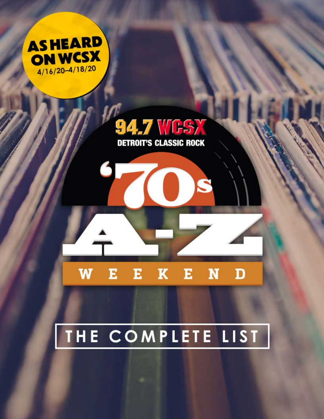

## **94.7 WFSY DETROIT'S CLASSIC ROCK**

#### $K$   $E$ N W E Е D

# THE COMPLETE LIST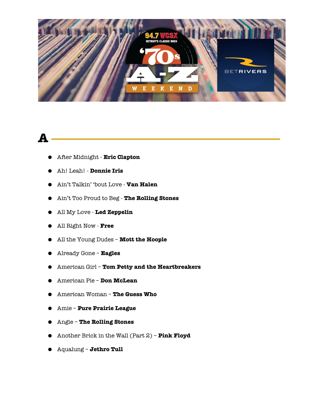

**A** 

- After Midnight **Eric Clapton**
- Ah! Leah! **Donnie Iris**
- Ain't Talkin' 'bout Love **Van Halen**
- Ain't Too Proud to Beg **The Rolling Stones**
- All My Love **Led Zeppelin**
- All Right Now **Free**
- All the Young Dudes **Mott the Hoople**
- Already Gone **Eagles**
- American Girl **Tom Petty and the Heartbreakers**
- American Pie **Don McLean**
- American Woman **The Guess Who**
- Amie **Pure Prairie League**
- Angie **The Rolling Stones**
- Another Brick in the Wall (Part 2) **Pink Floyd**
- Aqualung **Jethro Tull**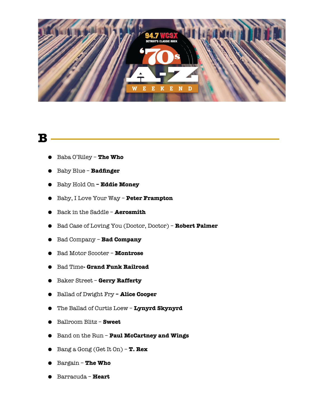

#### **B**

- Baba O'Riley **The Who**
- Baby Blue **Badfnger**
- Baby Hold On **Eddie Money**
- Baby, I Love Your Way **Peter Frampton**
- Back in the Saddle **Aerosmith**
- Bad Case of Loving You (Doctor, Doctor) **Robert Palmer**
- Bad Company **Bad Company**
- Bad Motor Scooter **Montrose**
- Bad Time **Grand Funk Railroad**
- Baker Street **Gerry Rafferty**
- Ballad of Dwight Fry **Alice Cooper**
- The Ballad of Curtis Loew **Lynyrd Skynyrd**
- Ballroom Blitz **Sweet**
- Band on the Run **Paul McCartney and Wings**
- Bang a Gong (Get It On) **T. Rex**
- Bargain **The Who**
- Barracuda **Heart**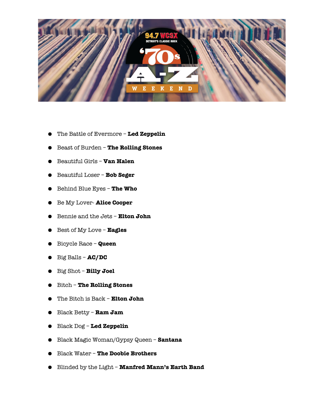

- The Battle of Evermore **Led Zeppelin**
- Beast of Burden **The Rolling Stones**
- Beautiful Girls **Van Halen**
- Beautiful Loser **Bob Seger**
- Behind Blue Eyes **The Who**
- Be My Lover- **Alice Cooper**
- Bennie and the Jets **Elton John**
- Best of My Love **Eagles**
- Bicycle Race **Queen**
- Big Balls **AC/DC**
- Big Shot **Billy Joel**
- Bitch **The Rolling Stones**
- The Bitch is Back **Elton John**
- Black Betty **Ram Jam**
- Black Dog **Led Zeppelin**
- Black Magic Woman/Gypsy Queen **Santana**
- Black Water **The Doobie Brothers**
- Blinded by the Light **Manfred Mann's Earth Band**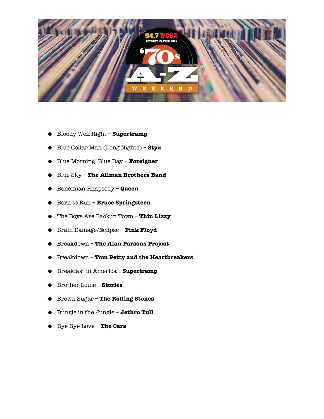

- Bloody Well Right **Supertramp**
- Blue Collar Man (Long Nights) **Styx**
- Blue Morning, Blue Day **Foreigner**
- Blue Sky **The Allman Brothers Band**
- Bohemian Rhapsody **Queen**
- Born to Run **Bruce Springsteen**
- The Boys Are Back in Town **Thin Lizzy**
- Brain Damage/Eclipse **Pink Floyd**
- Breakdown **The Alan Parsons Project**
- Breakdown **Tom Petty and the Heartbreakers**
- Breakfast in America **Supertramp**
- Brother Louie **Stories**
- Brown Sugar **The Rolling Stones**
- Bungle in the Jungle **Jethro Tull**
- Bye Bye Love **The Cars**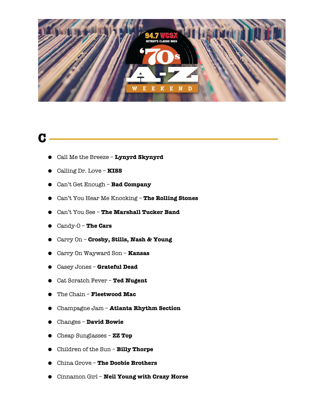

#### **C**

- Call Me the Breeze **Lynyrd Skynyrd**
- Calling Dr. Love **KISS**
- Can't Get Enough **Bad Company**
- Can't You Hear Me Knocking **The Rolling Stones**
- Can't You See **The Marshall Tucker Band**
- Candy-O **The Cars**
- Carry On **Crosby, Stills, Nash & Young**
- Carry On Wayward Son **Kansas**
- Casey Jones **Grateful Dead**
- Cat Scratch Fever **Ted Nugent**
- The Chain **Fleetwood Mac**
- Champagne Jam **Atlanta Rhythm Section**
- Changes **David Bowie**
- Cheap Sunglasses **ZZ Top**
- Children of the Sun **Billy Thorpe**
- China Grove **The Doobie Brothers**
- Cinnamon Girl **Neil Young with Crazy Horse**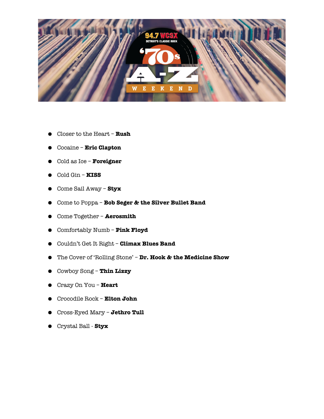

- Closer to the Heart **Rush**
- Cocaine **Eric Clapton**
- Cold as Ice **Foreigner**
- Cold Gin **KISS**
- Come Sail Away **Styx**
- Come to Poppa **Bob Seger & the Silver Bullet Band**
- Come Together **Aerosmith**
- Comfortably Numb **Pink Floyd**
- Couldn't Get It Right **Climax Blues Band**
- The Cover of 'Rolling Stone' **Dr. Hook & the Medicine Show**
- Cowboy Song **Thin Lizzy**
- Crazy On You **Heart**
- Crocodile Rock **Elton John**
- Cross-Eyed Mary **Jethro Tull**
- Crystal Ball **Styx**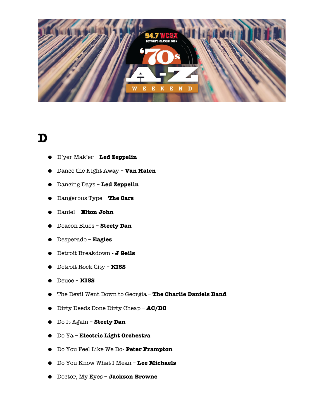

#### **D**

- D'yer Mak'er **Led Zeppelin**
- Dance the Night Away **Van Halen**
- Dancing Days **Led Zeppelin**
- Dangerous Type **The Cars**
- Daniel **Elton John**
- Deacon Blues **Steely Dan**
- Desperado **Eagles**
- Detroit Breakdown **J Geils**
- Detroit Rock City **KISS**
- Deuce **KISS**
- The Devil Went Down to Georgia **The Charlie Daniels Band**
- Dirty Deeds Done Dirty Cheap **AC/DC**
- Do It Again **Steely Dan**
- Do Ya **Electric Light Orchestra**
- Do You Feel Like We Do- **Peter Frampton**
- Do You Know What I Mean **Lee Michaels**
- Doctor, My Eyes **Jackson Browne**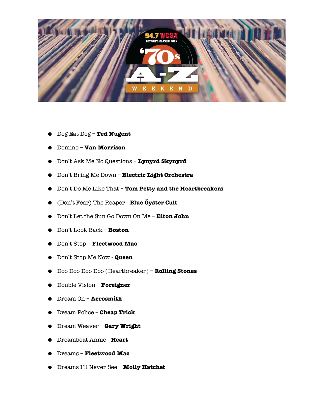

- Dog Eat Dog **Ted Nugent**
- Domino **Van Morrison**
- Don't Ask Me No Questions **Lynyrd Skynyrd**
- Don't Bring Me Down **Electric Light Orchestra**
- Don't Do Me Like That **Tom Petty and the Heartbreakers**
- (Don't Fear) The Reaper **Blue Öyster Cult**
- Don't Let the Sun Go Down On Me **Elton John**
- Don't Look Back **Boston**
- Don't Stop **Fleetwood Mac**
- Don't Stop Me Now **Queen**
- Doo Doo Doo Doo (Heartbreaker) **Rolling Stones**
- Double Vision **Foreigner**
- Dream On **Aerosmith**
- Dream Police **Cheap Trick**
- Dream Weaver **Gary Wright**
- Dreamboat Annie **Heart**
- Dreams **Fleetwood Mac**
- Dreams I'll Never See **Molly Hatchet**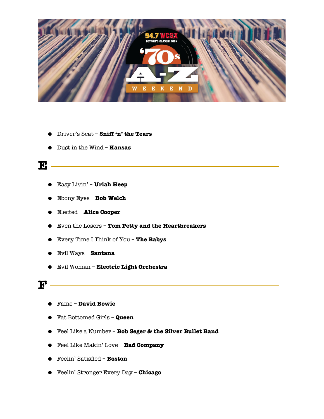

- Driver's Seat **Sniff 'n' the Tears**
- Dust in the Wind **Kansas**

#### **E**

- Easy Livin' **Uriah Heep**
- Ebony Eyes **Bob Welch**
- Elected **Alice Cooper**
- Even the Losers **Tom Petty and the Heartbreakers**
- Every Time I Think of You **The Babys**
- Evil Ways **Santana**
- Evil Woman **Electric Light Orchestra**

#### **F**

- Fame **David Bowie**
- Fat Bottomed Girls **Queen**
- Feel Like a Number **Bob Seger & the Silver Bullet Band**
- Feel Like Makin' Love **Bad Company**
- Feelin' Satisfed **Boston**
- Feelin' Stronger Every Day **Chicago**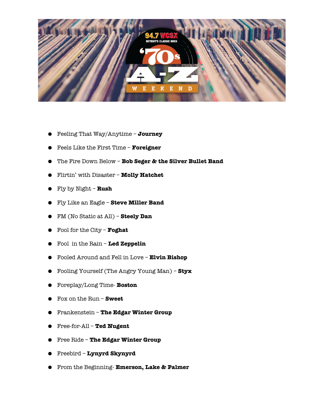

- Feeling That Way/Anytime **Journey**
- Feels Like the First Time **Foreigner**
- The Fire Down Below **Bob Seger & the Silver Bullet Band**
- Flirtin' with Disaster **Molly Hatchet**
- Fly by Night **Rush**
- Fly Like an Eagle **Steve Miller Band**
- FM (No Static at All) **Steely Dan**
- Fool for the City **Foghat**
- Fool in the Rain **Led Zeppelin**
- Fooled Around and Fell in Love **Elvin Bishop**
- Fooling Yourself (The Angry Young Man) **Styx**
- Foreplay/Long Time- **Boston**
- Fox on the Run **Sweet**
- Frankenstein **The Edgar Winter Group**
- Free-for-All **Ted Nugent**
- Free Ride **The Edgar Winter Group**
- Freebird **Lynyrd Skynyrd**
- From the Beginning- **Emerson, Lake & Palmer**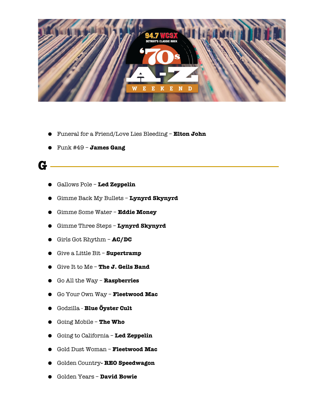

- Funeral for a Friend/Love Lies Bleeding **Elton John**
- Funk #49 **James Gang**

#### **G**

- Gallows Pole **Led Zeppelin**
- Gimme Back My Bullets **Lynyrd Skynyrd**
- Gimme Some Water **Eddie Money**
- Gimme Three Steps **Lynyrd Skynyrd**
- Girls Got Rhythm **AC/DC**
- Give a Little Bit **Supertramp**
- Give It to Me **The J. Geils Band**
- Go All the Way **Raspberries**
- Go Your Own Way **Fleetwood Mac**
- Godzilla **Blue Öyster Cult**
- Going Mobile **The Who**
- Going to California **Led Zeppelin**
- Gold Dust Woman **Fleetwood Mac**
- Golden Country **REO Speedwagon**
- Golden Years **David Bowie**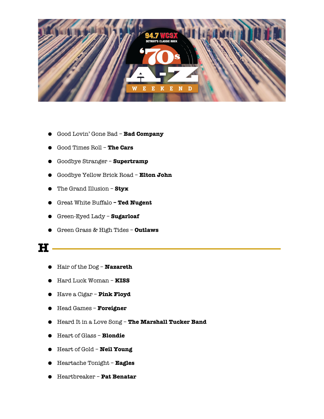

- Good Lovin' Gone Bad **Bad Company**
- Good Times Roll **The Cars**
- Goodbye Stranger **Supertramp**
- Goodbye Yellow Brick Road **Elton John**
- The Grand Illusion **Styx**
- Great White Buffalo **Ted Nugent**
- Green-Eyed Lady **Sugarloaf**
- Green Grass & High Tides **Outlaws**

#### **H**

- Hair of the Dog **Nazareth**
- Hard Luck Woman **KISS**
- Have a Cigar **Pink Floyd**
- Head Games **Foreigner**
- Heard It in a Love Song **The Marshall Tucker Band**
- Heart of Glass **Blondie**
- Heart of Gold **Neil Young**
- Heartache Tonight **Eagles**
- Heartbreaker **Pat Benatar**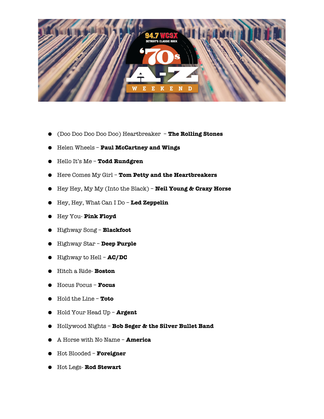

- (Doo Doo Doo Doo Doo) Heartbreaker **The Rolling Stones**
- Helen Wheels **Paul McCartney and Wings**
- Hello It's Me **Todd Rundgren**
- Here Comes My Girl **Tom Petty and the Heartbreakers**
- Hey Hey, My My (Into the Black) **Neil Young & Crazy Horse**
- Hey, Hey, What Can I Do **Led Zeppelin**
- Hey You- **Pink Floyd**
- Highway Song **Blackfoot**
- Highway Star **Deep Purple**
- Highway to Hell **AC/DC**
- Hitch a Ride- **Boston**
- Hocus Pocus **Focus**
- Hold the Line **Toto**
- Hold Your Head Up **Argent**
- Hollywood Nights **Bob Seger & the Silver Bullet Band**
- A Horse with No Name **America**
- Hot Blooded **Foreigner**
- Hot Legs- **Rod Stewart**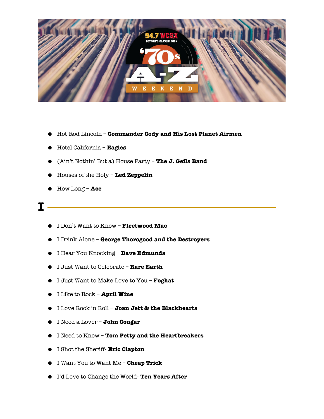

- Hot Rod Lincoln **Commander Cody and His Lost Planet Airmen**
- Hotel California **Eagles**
- (Ain't Nothin' But a) House Party **The J. Geils Band**
- Houses of the Holy **Led Zeppelin**
- How Long **Ace**

#### **I**

- I Don't Want to Know **Fleetwood Mac**
- I Drink Alone **George Thorogood and the Destroyers**
- I Hear You Knocking **Dave Edmunds**
- I Just Want to Celebrate **Rare Earth**
- I Just Want to Make Love to You **Foghat**
- I Like to Rock **April Wine**
- I Love Rock 'n Roll **Joan Jett & the Blackhearts**
- I Need a Lover **John Cougar**
- I Need to Know **Tom Petty and the Heartbreakers**
- I Shot the Sheriff- **Eric Clapton**
- I Want You to Want Me **Cheap Trick**
- I'd Love to Change the World- **Ten Years After**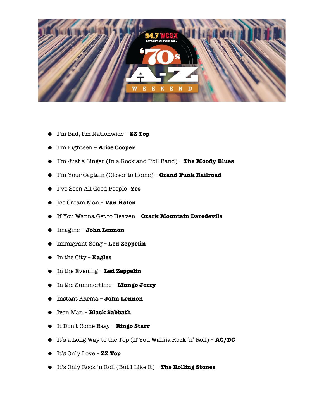

- I'm Bad, I'm Nationwide **ZZ Top**
- I'm Eighteen **Alice Cooper**
- I'm Just a Singer (In a Rock and Roll Band) **The Moody Blues**
- I'm Your Captain (Closer to Home) **Grand Funk Railroad**
- I've Seen All Good People- **Yes**
- Ice Cream Man **Van Halen**
- If You Wanna Get to Heaven **Ozark Mountain Daredevils**
- Imagine **John Lennon**
- Immigrant Song **Led Zeppelin**
- In the City **Eagles**
- In the Evening **Led Zeppelin**
- In the Summertime **Mungo Jerry**
- Instant Karma **John Lennon**
- Iron Man **Black Sabbath**
- It Don't Come Easy **Ringo Starr**
- It's a Long Way to the Top (If You Wanna Rock 'n' Roll) **AC/DC**
- It's Only Love **ZZ Top**
- It's Only Rock 'n Roll (But I Like It) **The Rolling Stones**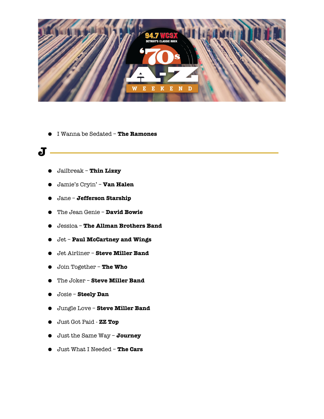

● I Wanna be Sedated – **The Ramones**

#### $J$

- Jailbreak **Thin Lizzy**
- Jamie's Cryin' **Van Halen**
- Jane **Jefferson Starship**
- The Jean Genie **David Bowie**
- Jessica **The Allman Brothers Band**
- Jet **Paul McCartney and Wings**
- Jet Airliner **Steve Miller Band**
- Join Together **The Who**
- The Joker **Steve Miller Band**
- Josie **Steely Dan**
- Jungle Love **Steve Miller Band**
- Just Got Paid **ZZ Top**
- Just the Same Way **Journey**
- Just What I Needed **The Cars**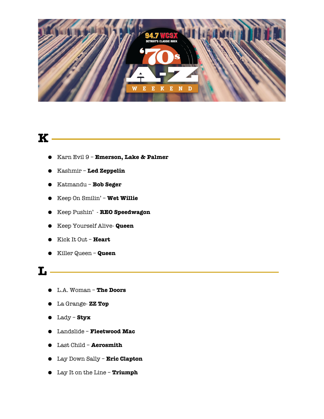

#### **K**

- Karn Evil 9 **Emerson, Lake & Palmer**
- Kashmir **Led Zeppelin**
- Katmandu **Bob Seger**
- Keep On Smilin' **Wet Willie**
- Keep Pushin' **REO Speedwagon**

<u> 1999 - Johann Barnett, f</u>

- Keep Yourself Alive- **Queen**
- Kick It Out **Heart**
- Killer Queen **Queen**

#### **L**

- L.A. Woman **The Doors**
- La Grange- **ZZ Top**
- Lady **Styx**
- Landslide **Fleetwood Mac**
- Last Child **Aerosmith**
- Lay Down Sally **Eric Clapton**
- Lay It on the Line **Triumph**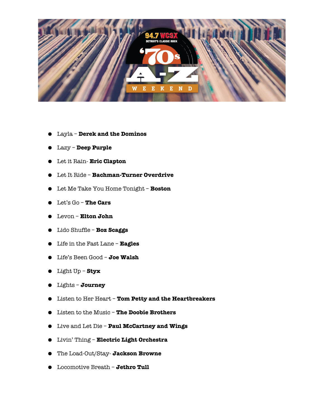

- Layla **Derek and the Dominos**
- Lazy **Deep Purple**
- Let it Rain- **Eric Clapton**
- Let It Ride **Bachman-Turner Overdrive**
- Let Me Take You Home Tonight **Boston**
- Let's Go **The Cars**
- Levon **Elton John**
- Lido Shuffe **Boz Scaggs**
- Life in the Fast Lane **Eagles**
- Life's Been Good **Joe Walsh**
- Light Up **Styx**
- Lights **Journey**
- Listen to Her Heart **Tom Petty and the Heartbreakers**
- Listen to the Music **The Doobie Brothers**
- Live and Let Die **Paul McCartney and Wings**
- Livin' Thing **Electric Light Orchestra**
- The Load-Out/Stay- **Jackson Browne**
- Locomotive Breath **Jethro Tull**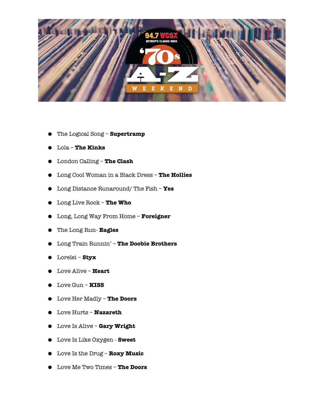

- The Logical Song **Supertramp**
- Lola **The Kinks**
- London Calling **The Clash**
- Long Cool Woman in a Black Dress **The Hollies**
- Long Distance Runaround/ The Fish **Yes**
- Long Live Rock **The Who**
- Long, Long Way From Home **Foreigner**
- The Long Run- **Eagles**
- Long Train Runnin' **The Doobie Brothers**
- Lorelei **Styx**
- Love Alive **Heart**
- Love Gun **KISS**
- Love Her Madly **The Doors**
- Love Hurts **Nazareth**
- Love Is Alive **Gary Wright**
- Love Is Like Oxygen **Sweet**
- Love Is the Drug **Roxy Music**
- Love Me Two Times **The Doors**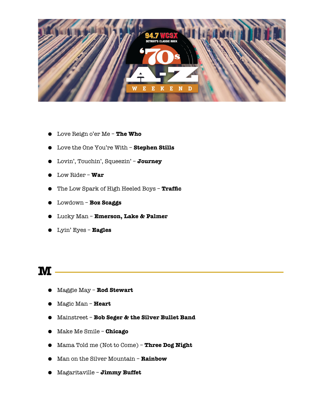

- Love Reign o'er Me **The Who**
- Love the One You're With **Stephen Stills**
- Lovin', Touchin', Squeezin' **Journey**
- Low Rider **War**
- The Low Spark of High Heeled Boys **Traffc**
- Lowdown **Boz Scaggs**
- Lucky Man **Emerson, Lake & Palmer**
- Lyin' Eyes **Eagles**

#### **M**

- Maggie May **Rod Stewart**
- Magic Man **Heart**
- Mainstreet **Bob Seger & the Silver Bullet Band**
- Make Me Smile **Chicago**
- Mama Told me (Not to Come) **Three Dog Night**
- Man on the Silver Mountain **Rainbow**
- Magaritaville **Jimmy Buffet**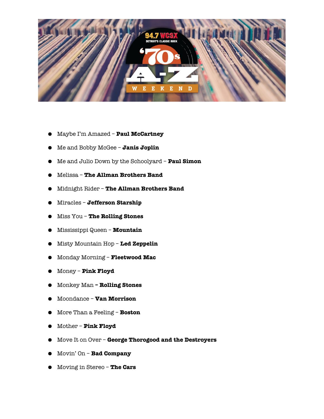

- Maybe I'm Amazed **Paul McCartney**
- Me and Bobby McGee **Janis Joplin**
- Me and Julio Down by the Schoolyard **Paul Simon**
- Melissa **The Allman Brothers Band**
- Midnight Rider **The Allman Brothers Band**
- Miracles **Jefferson Starship**
- Miss You **The Rolling Stones**
- Mississippi Queen **Mountain**
- Misty Mountain Hop **Led Zeppelin**
- Monday Morning **Fleetwood Mac**
- Money **Pink Floyd**
- Monkey Man **Rolling Stones**
- Moondance **Van Morrison**
- More Than a Feeling **Boston**
- Mother **Pink Floyd**
- Move It on Over **George Thorogood and the Destroyers**
- Movin' On **Bad Company**
- Moving in Stereo **The Cars**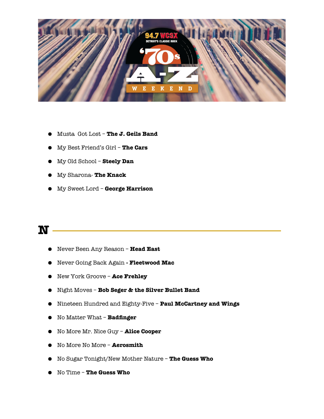

- Musta Got Lost **The J. Geils Band**
- My Best Friend's Girl **The Cars**
- My Old School **Steely Dan**
- My Sharona- **The Knack**
- My Sweet Lord **George Harrison**

#### **N**

- Never Been Any Reason **Head East**
- Never Going Back Again **Fleetwood Mac**
- New York Groove **Ace Frehley**
- Night Moves **Bob Seger & the Silver Bullet Band**
- Nineteen Hundred and Eighty-Five **Paul McCartney and Wings**
- No Matter What **Badfnger**
- No More Mr. Nice Guy **Alice Cooper**
- No More No More **Aerosmith**
- No Sugar Tonight/New Mother Nature **The Guess Who**
- No Time **The Guess Who**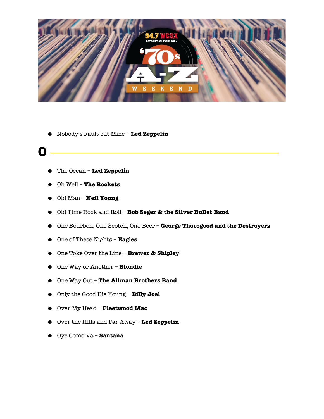

● Nobody's Fault but Mine – **Led Zeppelin**

#### **O**

- The Ocean **Led Zeppelin**
- Oh Well **The Rockets**
- Old Man **Neil Young**
- Old Time Rock and Roll **Bob Seger & the Silver Bullet Band**
- One Bourbon, One Scotch, One Beer **George Thorogood and the Destroyers**
- One of These Nights **Eagles**
- One Toke Over the Line **Brewer & Shipley**
- One Way or Another **Blondie**
- One Way Out **The Allman Brothers Band**
- Only the Good Die Young **Billy Joel**
- Over My Head **Fleetwood Mac**
- Over the Hills and Far Away **Led Zeppelin**
- Oye Como Va **Santana**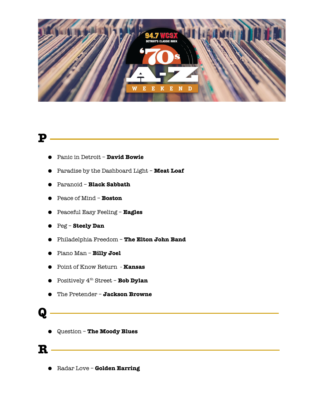

**P** 

- Panic in Detroit **David Bowie**
- Paradise by the Dashboard Light **Meat Loaf**
- Paranoid **Black Sabbath**
- Peace of Mind **Boston**
- Peaceful Easy Feeling **Eagles**
- Peg **Steely Dan**
- Philadelphia Freedom **The Elton John Band**

<u> 1980 - Johann Barn, mars an t-Amerikaansk kommunister (</u>

- Piano Man **Billy Joel**
- Point of Know Return **Kansas**
- Positively 4th Street **Bob Dylan**
- The Pretender **Jackson Browne**

#### **Q**

● Question – **The Moody Blues**

#### **R**

● Radar Love – **Golden Earring**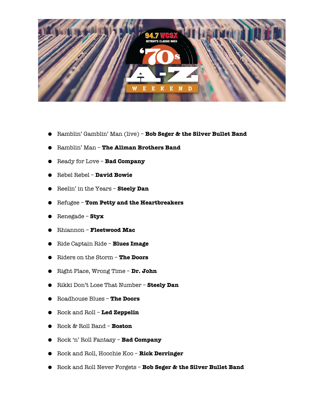

- Ramblin' Gamblin' Man (live) **Bob Seger & the Silver Bullet Band**
- Ramblin' Man **The Allman Brothers Band**
- Ready for Love **Bad Company**
- Rebel Rebel **David Bowie**
- Reelin' in the Years **Steely Dan**
- Refugee **Tom Petty and the Heartbreakers**
- Renegade **Styx**
- Rhiannon **Fleetwood Mac**
- Ride Captain Ride **Blues Image**
- Riders on the Storm **The Doors**
- Right Place, Wrong Time **Dr. John**
- Rikki Don't Lose That Number **Steely Dan**
- Roadhouse Blues **The Doors**
- Rock and Roll **Led Zeppelin**
- Rock & Roll Band **Boston**
- Rock 'n' Roll Fantasy **Bad Company**
- Rock and Roll, Hoochie Koo **Rick Derringer**
- Rock and Roll Never Forgets **Bob Seger & the Silver Bullet Band**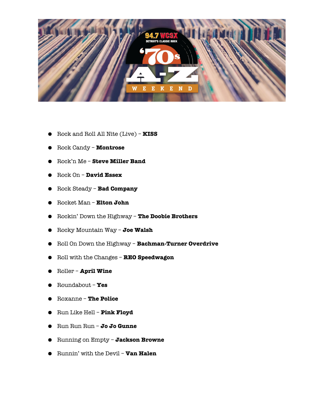

- Rock and Roll All Nite (Live) **KISS**
- Rock Candy **Montrose**
- Rock'n Me **Steve Miller Band**
- Rock On **David Essex**
- Rock Steady **Bad Company**
- Rocket Man **Elton John**
- Rockin' Down the Highway **The Doobie Brothers**
- Rocky Mountain Way **Joe Walsh**
- Roll On Down the Highway **Bachman-Turner Overdrive**
- Roll with the Changes **REO Speedwagon**
- Roller **April Wine**
- Roundabout **Yes**
- Roxanne **The Police**
- Run Like Hell **Pink Floyd**
- Run Run Run **Jo Jo Gunne**
- Running on Empty **Jackson Browne**
- Runnin' with the Devil **Van Halen**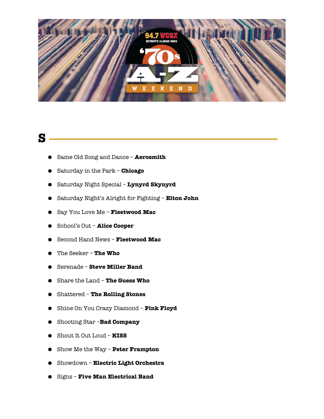

#### **S**

- Same Old Song and Dance **Aerosmith**
- Saturday in the Park **Chicago**
- Saturday Night Special **Lynyrd Skynyrd**
- Saturday Night's Alright for Fighting **Elton John**
- Say You Love Me **Fleetwood Mac**
- School's Out **Alice Cooper**
- Second Hand News **Fleetwood Mac**
- The Seeker **The Who**
- Serenade **Steve Miller Band**
- Share the Land **The Guess Who**
- Shattered **The Rolling Stones**
- Shine On You Crazy Diamond **Pink Floyd**
- Shooting Star –**Bad Company**
- Shout It Out Loud **KISS**
- Show Me the Way **Peter Frampton**
- Showdown **Electric Light Orchestra**
- Signs **Five Man Electrical Band**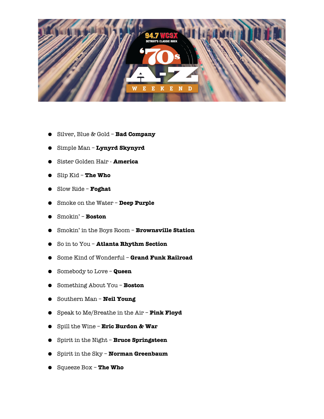

- Silver, Blue & Gold **Bad Company**
- Simple Man **Lynyrd Skynyrd**
- Sister Golden Hair **America**
- Slip Kid **The Who**
- Slow Ride **Foghat**
- Smoke on the Water **Deep Purple**
- Smokin' **Boston**
- Smokin' in the Boys Room **Brownsville Station**
- So in to You **Atlanta Rhythm Section**
- Some Kind of Wonderful **Grand Funk Railroad**
- Somebody to Love **Queen**
- Something About You **Boston**
- Southern Man **Neil Young**
- Speak to Me/Breathe in the Air **Pink Floyd**
- Spill the Wine **Eric Burdon & War**
- Spirit in the Night **Bruce Springsteen**
- Spirit in the Sky **Norman Greenbaum**
- Squeeze Box **The Who**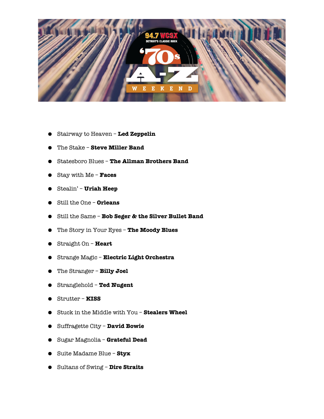

- Stairway to Heaven **Led Zeppelin**
- The Stake **Steve Miller Band**
- Statesboro Blues The Allman Brothers Band
- Stay with Me **Faces**
- Stealin' **Uriah Heep**
- Still the One **Orleans**
- Still the Same **Bob Seger & the Silver Bullet Band**
- The Story in Your Eyes **The Moody Blues**
- Straight On **Heart**
- Strange Magic **Electric Light Orchestra**
- The Stranger **Billy Joel**
- Stranglehold **Ted Nugent**
- Strutter **KISS**
- Stuck in the Middle with You **Stealers Wheel**
- Suffragette City **David Bowie**
- Sugar Magnolia **Grateful Dead**
- Suite Madame Blue **Styx**
- Sultans of Swing **Dire Straits**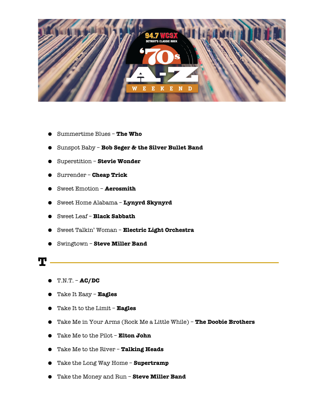

- Summertime Blues **The Who**
- Sunspot Baby **Bob Seger & the Silver Bullet Band**
- Superstition **Stevie Wonder**
- Surrender **Cheap Trick**
- Sweet Emotion **Aerosmith**
- Sweet Home Alabama **Lynyrd Skynyrd**
- Sweet Leaf **Black Sabbath**
- Sweet Talkin' Woman **Electric Light Orchestra**
- Swingtown **Steve Miller Band**

#### **T**

- T.N.T. **AC/DC**
- Take It Easy **Eagles**
- Take It to the Limit **Eagles**
- Take Me in Your Arms (Rock Me a Little While) **The Doobie Brothers**
- Take Me to the Pilot **Elton John**
- Take Me to the River **Talking Heads**
- Take the Long Way Home **Supertramp**
- Take the Money and Run **Steve Miller Band**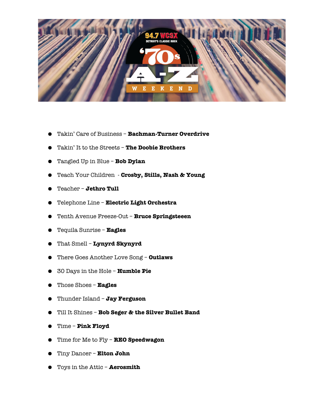

- Takin' Care of Business **Bachman-Turner Overdrive**
- Takin' It to the Streets **The Doobie Brothers**
- Tangled Up in Blue **Bob Dylan**
- Teach Your Children **Crosby, Stills, Nash & Young**
- Teacher **Jethro Tull**
- Telephone Line **Electric Light Orchestra**
- Tenth Avenue Freeze-Out **Bruce Springsteeen**
- Tequila Sunrise **Eagles**
- That Smell **Lynyrd Skynyrd**
- There Goes Another Love Song **Outlaws**
- 30 Days in the Hole **Humble Pie**
- Those Shoes **Eagles**
- Thunder Island **Jay Ferguson**
- Till It Shines **Bob Seger & the Silver Bullet Band**
- Time **Pink Floyd**
- Time for Me to Fly **REO Speedwagon**
- Tiny Dancer **Elton John**
- Toys in the Attic **Aerosmith**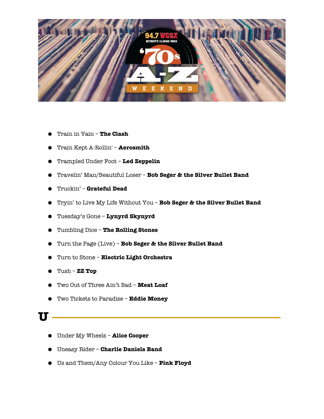

- Train in Vain **The Clash**
- Train Kept A-Rollin' **Aerosmith**
- Trampled Under Foot **Led Zeppelin**
- Travelin' Man/Beautiful Loser **Bob Seger & the Silver Bullet Band**
- Truckin' **Grateful Dead**
- Tryin' to Live My Life Without You **Bob Seger & the Silver Bullet Band**
- Tuesday's Gone **Lynyrd Skynyrd**
- Tumbling Dice **The Rolling Stones**
- Turn the Page (Live) **Bob Seger & the Silver Bullet Band**
- Turn to Stone **Electric Light Orchestra**
- Tush **ZZ Top**
- Two Out of Three Ain't Bad **Meat Loaf**
- Two Tickets to Paradise **Eddie Money**
- **U** 
	- Under My Wheels **Alice Cooper**
	- Uneasy Rider **Charlie Daniels Band**
	- Us and Them/Any Colour You Like **Pink Floyd**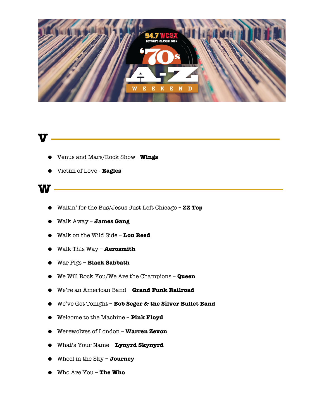

#### **V**

- Venus and Mars/Rock Show –**Wings**
- Victim of Love **Eagles**

#### **W**

- Waitin' for the Bus/Jesus Just Left Chicago **ZZ Top**
- Walk Away **James Gang**
- Walk on the Wild Side **Lou Reed**
- Walk This Way **Aerosmith**
- War Pigs **Black Sabbath**
- We Will Rock You/We Are the Champions **Queen**
- We're an American Band **Grand Funk Railroad**
- We've Got Tonight **Bob Seger & the Silver Bullet Band**
- Welcome to the Machine **Pink Floyd**
- Werewolves of London **Warren Zevon**
- What's Your Name **Lynyrd Skynyrd**
- Wheel in the Sky **Journey**
- Who Are You **The Who**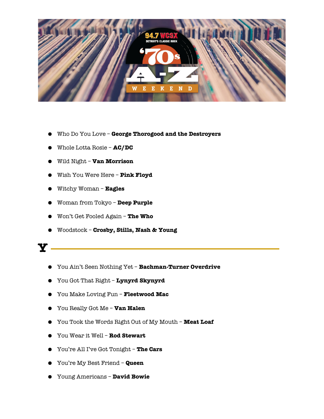

- Who Do You Love **George Thorogood and the Destroyers**
- Whole Lotta Rosie **AC/DC**
- Wild Night **Van Morrison**
- Wish You Were Here **Pink Floyd**
- Witchy Woman **Eagles**
- Woman from Tokyo **Deep Purple**
- Won't Get Fooled Again **The Who**
- Woodstock **Crosby, Stills, Nash & Young**



- You Ain't Seen Nothing Yet **Bachman-Turner Overdrive**
- You Got That Right **Lynyrd Skynyrd**
- You Make Loving Fun **Fleetwood Mac**
- You Really Got Me **Van Halen**
- You Took the Words Right Out of My Mouth **Meat Loaf**
- You Wear it Well **Rod Stewart**
- You're All I've Got Tonight **The Cars**
- You're My Best Friend **Queen**
- Young Americans **David Bowie**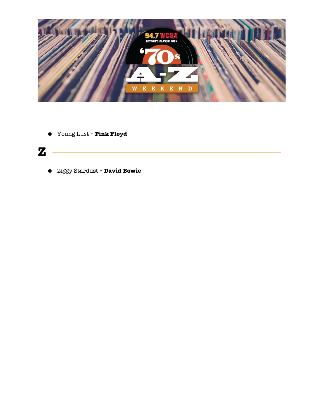

● Young Lust – **Pink Floyd**

### **Z**

● Ziggy Stardust – **David Bowie**